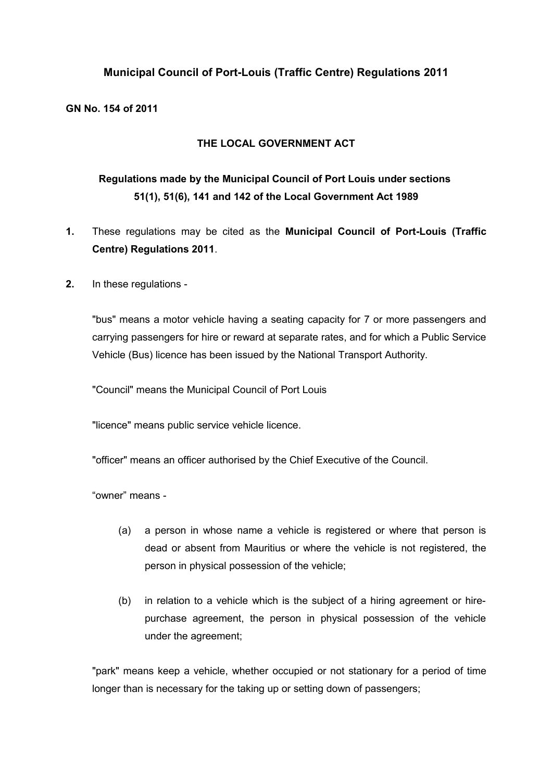## **Municipal Council of Port-Louis (Traffic Centre) Regulations 2011**

**GN No. 154 of 2011**

#### **THE LOCAL GOVERNMENT ACT**

# **Regulations made by the Municipal Council of Port Louis under sections 51(1), 51(6), 141 and 142 of the Local Government Act 1989**

- **1.** These regulations may be cited as the **Municipal Council of Port-Louis (Traffic Centre) Regulations 2011**.
- **2.** In these regulations -

"bus" means a motor vehicle having a seating capacity for 7 or more passengers and carrying passengers for hire or reward at separate rates, and for which a Public Service Vehicle (Bus) licence has been issued by the National Transport Authority.

"Council" means the Municipal Council of Port Louis

"licence" means public service vehicle licence.

"officer" means an officer authorised by the Chief Executive of the Council.

"owner" means -

- (a) a person in whose name a vehicle is registered or where that person is dead or absent from Mauritius or where the vehicle is not registered, the person in physical possession of the vehicle;
- (b) in relation to a vehicle which is the subject of a hiring agreement or hirepurchase agreement, the person in physical possession of the vehicle under the agreement;

"park" means keep a vehicle, whether occupied or not stationary for a period of time longer than is necessary for the taking up or setting down of passengers;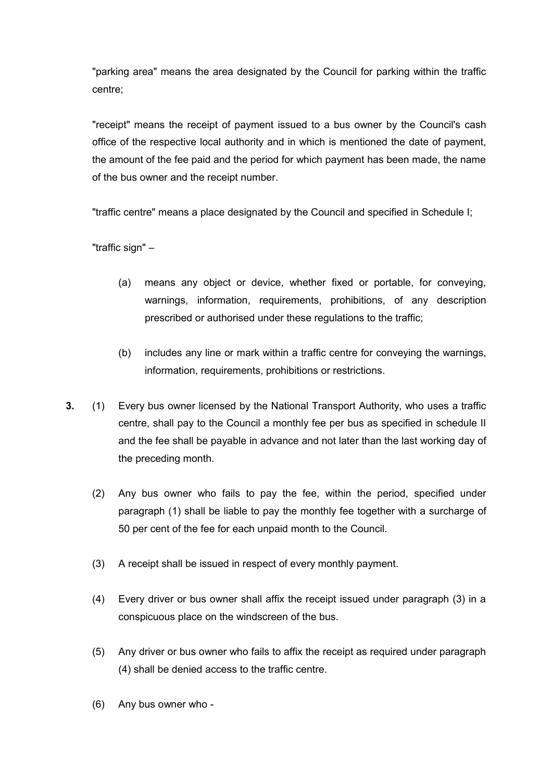"parking area" means the area designated by the Council for parking within the traffic centre;

"receipt" means the receipt of payment issued to a bus owner by the Council's cash office of the respective local authority and in which is mentioned the date of payment, the amount of the fee paid and the period for which payment has been made, the name of the bus owner and the receipt number.

"traffic centre" means a place designated by the Council and specified in Schedule I;

"traffic sign" –

- (a) means any object or device, whether fixed or portable, for conveying, warnings, information, requirements, prohibitions, of any description prescribed or authorised under these regulations to the traffic;
- (b) includes any line or mark within a traffic centre for conveying the warnings, information, requirements, prohibitions or restrictions.
- **3.** (1) Every bus owner licensed by the National Transport Authority, who uses a traffic centre, shall pay to the Council a monthly fee per bus as specified in schedule II and the fee shall be payable in advance and not later than the last working day of the preceding month.
	- (2) Any bus owner who fails to pay the fee, within the period, specified under paragraph (1) shall be liable to pay the monthly fee together with a surcharge of 50 per cent of the fee for each unpaid month to the Council.
	- (3) A receipt shall be issued in respect of every monthly payment.
	- (4) Every driver or bus owner shall affix the receipt issued under paragraph (3) in a conspicuous place on the windscreen of the bus.
	- (5) Any driver or bus owner who fails to affix the receipt as required under paragraph (4) shall be denied access to the traffic centre.
	- (6) Any bus owner who -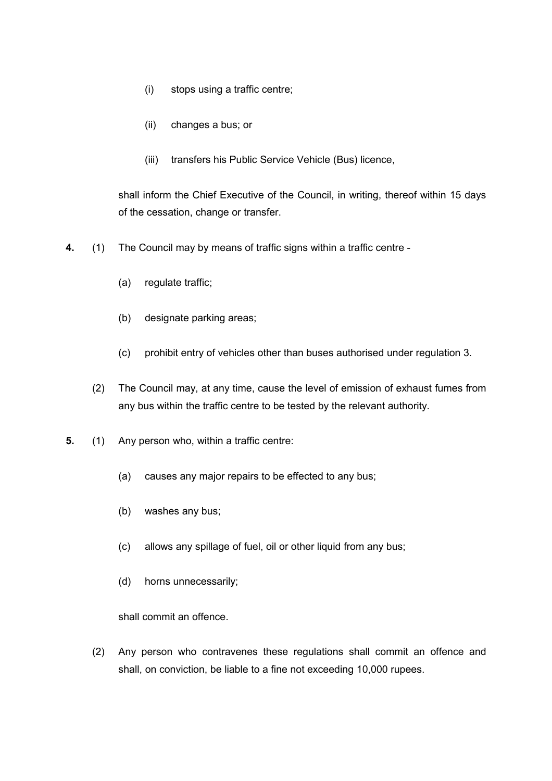- (i) stops using a traffic centre;
- (ii) changes a bus; or
- (iii) transfers his Public Service Vehicle (Bus) licence,

shall inform the Chief Executive of the Council, in writing, thereof within 15 days of the cessation, change or transfer.

- **4.** (1) The Council may by means of traffic signs within a traffic centre
	- (a) regulate traffic;
	- (b) designate parking areas;
	- (c) prohibit entry of vehicles other than buses authorised under regulation 3.
	- (2) The Council may, at any time, cause the level of emission of exhaust fumes from any bus within the traffic centre to be tested by the relevant authority.
- **5.** (1) Any person who, within a traffic centre:
	- (a) causes any major repairs to be effected to any bus;
	- (b) washes any bus;
	- (c) allows any spillage of fuel, oil or other liquid from any bus;
	- (d) horns unnecessarily;

shall commit an offence.

(2) Any person who contravenes these regulations shall commit an offence and shall, on conviction, be liable to a fine not exceeding 10,000 rupees.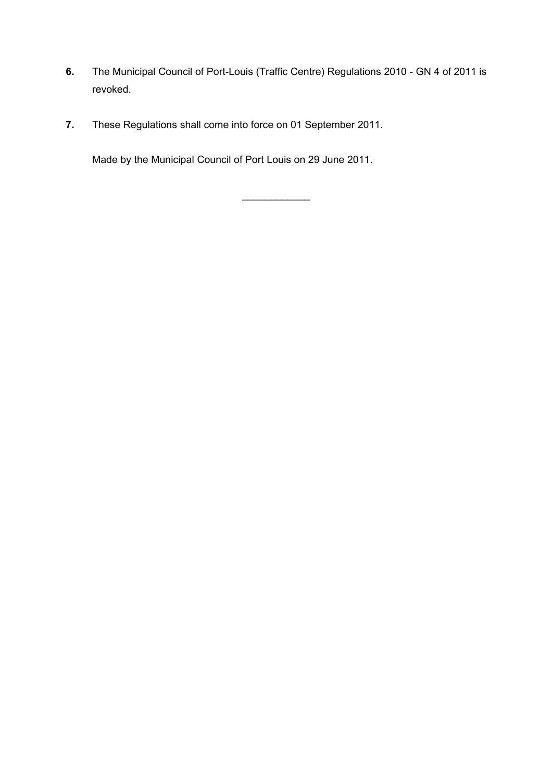- **6.** The Municipal Council of Port-Louis (Traffic Centre) Regulations 2010 GN 4 of 2011 is revoked.
- **7.** These Regulations shall come into force on 01 September 2011.

Made by the Municipal Council of Port Louis on 29 June 2011.

 $\mathcal{L}_\text{max}$  , where  $\mathcal{L}_\text{max}$